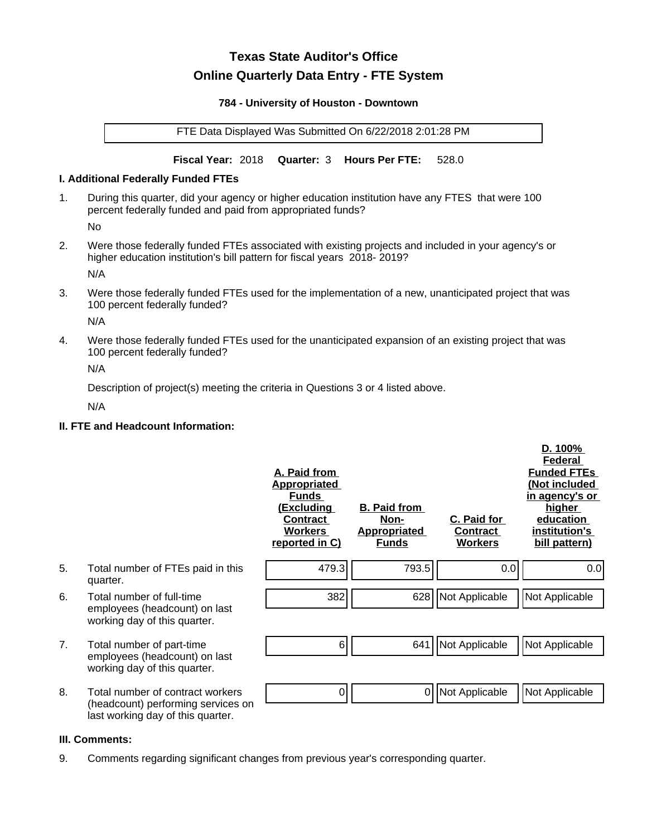# **Texas State Auditor's Office Online Quarterly Data Entry - FTE System**

#### **784 - University of Houston - Downtown**

FTE Data Displayed Was Submitted On 6/22/2018 2:01:28 PM

**Fiscal Year:** 2018 **Quarter:** 3 **Hours Per FTE:** 528.0

#### **I. Additional Federally Funded FTEs**

1. During this quarter, did your agency or higher education institution have any FTES that were 100 percent federally funded and paid from appropriated funds?

No

2. Were those federally funded FTEs associated with existing projects and included in your agency's or higher education institution's bill pattern for fiscal years 2018- 2019?

N/A

3. Were those federally funded FTEs used for the implementation of a new, unanticipated project that was 100 percent federally funded?

N/A

4. Were those federally funded FTEs used for the unanticipated expansion of an existing project that was 100 percent federally funded?

N/A

Description of project(s) meeting the criteria in Questions 3 or 4 listed above.

N/A

# **II. FTE and Headcount Information:**

|    |                                                                                                             | A. Paid from<br><u>Appropriated</u><br><b>Funds</b><br><u>(Excluding</u><br><b>Contract</b><br><b>Workers</b><br>reported in C) | <b>B. Paid from</b><br>Non-<br><b>Appropriated</b><br><b>Funds</b> | C. Paid for<br>Contract<br><b>Workers</b> | D. 100%<br>Federal<br><b>Funded FTEs</b><br>(Not included<br>in agency's or<br>higher<br>education<br>institution's<br>bill pattern) |
|----|-------------------------------------------------------------------------------------------------------------|---------------------------------------------------------------------------------------------------------------------------------|--------------------------------------------------------------------|-------------------------------------------|--------------------------------------------------------------------------------------------------------------------------------------|
| 5. | Total number of FTEs paid in this<br>quarter.                                                               | 479.3                                                                                                                           | 793.5                                                              | 0.0                                       | 0.0                                                                                                                                  |
| 6. | Total number of full-time<br>employees (headcount) on last<br>working day of this quarter.                  | 382                                                                                                                             |                                                                    | 628 Not Applicable                        | Not Applicable                                                                                                                       |
| 7. | Total number of part-time<br>employees (headcount) on last<br>working day of this quarter.                  | 6                                                                                                                               | 641                                                                | Not Applicable                            | Not Applicable                                                                                                                       |
| 8. | Total number of contract workers<br>(headcount) performing services on<br>last working day of this quarter. | 0                                                                                                                               | 0                                                                  | Not Applicable                            | Not Applicable                                                                                                                       |

#### **III. Comments:**

9. Comments regarding significant changes from previous year's corresponding quarter.